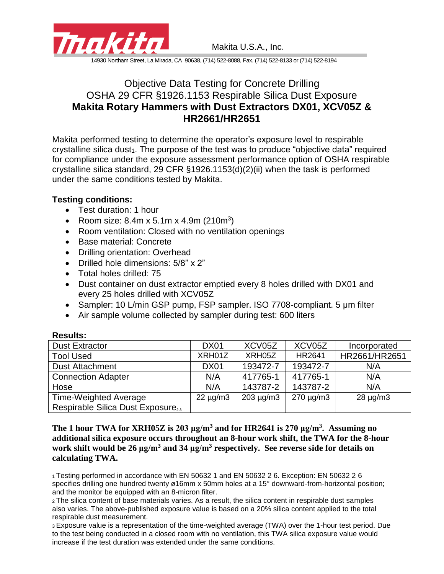

Makita U.S.A., Inc.

14930 Northam Street, La Mirada, CA 90638, (714) 522-8088, Fax. (714) 522-8133 or (714) 522-8194

## Objective Data Testing for Concrete Drilling OSHA 29 CFR §1926.1153 Respirable Silica Dust Exposure **Makita Rotary Hammers with Dust Extractors DX01, XCV05Z & HR2661/HR2651**

Makita performed testing to determine the operator's exposure level to respirable crystalline silica dust<sub>1</sub>. The purpose of the test was to produce "objective data" required for compliance under the exposure assessment performance option of OSHA respirable crystalline silica standard, 29 CFR §1926.1153(d)(2)(ii) when the task is performed under the same conditions tested by Makita.

## **Testing conditions:**

- Test duration: 1 hour
- Room size:  $8.4m \times 5.1m \times 4.9m$  (210m<sup>3</sup>)
- Room ventilation: Closed with no ventilation openings
- Base material: Concrete
- Drilling orientation: Overhead
- Drilled hole dimensions: 5/8" x 2"
- Total holes drilled: 75
- Dust container on dust extractor emptied every 8 holes drilled with DX01 and every 25 holes drilled with XCV05Z
- Sampler: 10 L/min GSP pump, FSP sampler. ISO 7708-compliant. 5 μm filter
- Air sample volume collected by sampler during test: 600 liters

| .                                             |               |                |                |               |
|-----------------------------------------------|---------------|----------------|----------------|---------------|
| <b>Dust Extractor</b>                         | <b>DX01</b>   | XCV05Z         | XCV05Z         | Incorporated  |
| <b>Tool Used</b>                              | XRH01Z        | XRH05Z         | HR2641         | HR2661/HR2651 |
| <b>Dust Attachment</b>                        | <b>DX01</b>   | 193472-7       | 193472-7       | N/A           |
| <b>Connection Adapter</b>                     | N/A           | 417765-1       | 417765-1       | N/A           |
| Hose                                          | N/A           | 143787-2       | 143787-2       | N/A           |
| <b>Time-Weighted Average</b>                  | $22 \mu g/m3$ | $203 \mu g/m3$ | $270 \mu g/m3$ | $28 \mu g/m3$ |
| Respirable Silica Dust Exposure <sub>23</sub> |               |                |                |               |

## **Results:**

**The 1 hour TWA for XRH05Z is 203 μg/m<sup>3</sup> and for HR2641 is 270 μg/m<sup>3</sup> . Assuming no additional silica exposure occurs throughout an 8-hour work shift, the TWA for the 8-hour work shift would be 26 μg/m<sup>3</sup> and 34 μg/m<sup>3</sup> respectively. See reverse side for details on calculating TWA.**

<sup>1</sup>Testing performed in accordance with EN 50632 1 and EN 50632 2 6. Exception: EN 50632 2 6 specifies drilling one hundred twenty ø16mm x 50mm holes at a 15° downward-from-horizontal position; and the monitor be equipped with an 8-micron filter.

<sup>2</sup>The silica content of base materials varies. As a result, the silica content in respirable dust samples also varies. The above-published exposure value is based on a 20% silica content applied to the total respirable dust measurement.

<sup>3</sup>Exposure value is a representation of the time-weighted average (TWA) over the 1-hour test period. Due to the test being conducted in a closed room with no ventilation, this TWA silica exposure value would increase if the test duration was extended under the same conditions.